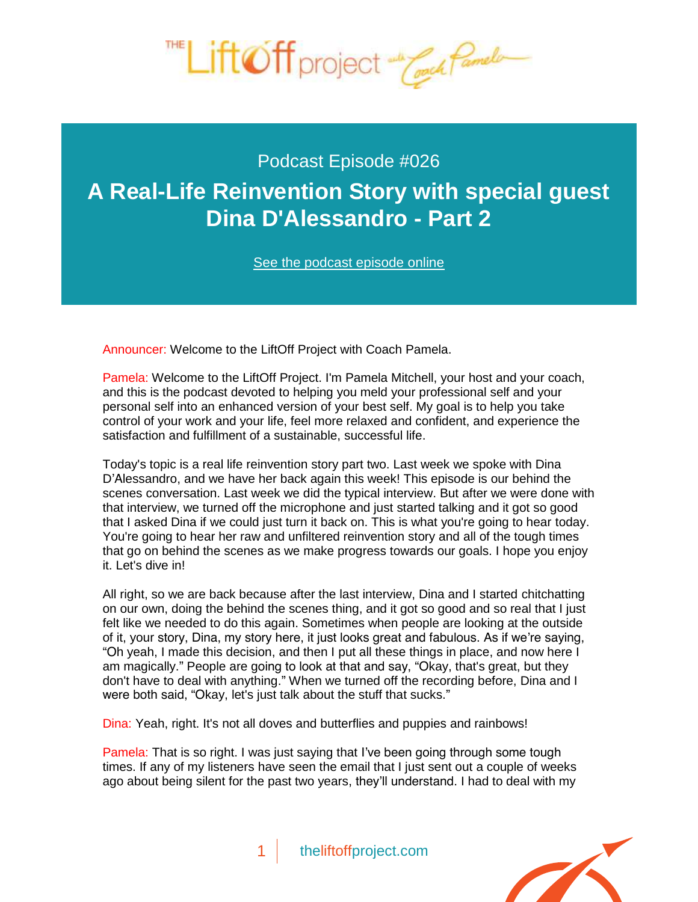

# Podcast Episode #026 **[A Real-Life Reinvention Story with special guest](http://theliftoffproject.com/real-life-reinvention-story-special-guest-dina-dalessandro-part-2/)  Dina D'Alessandro - Part 2**

*See the podcast episode online*

Announcer: Welcome to the LiftOff Project with Coach Pamela.

Pamela: Welcome to the LiftOff Project. I'm Pamela Mitchell, your host and your coach, and this is the podcast devoted to helping you meld your professional self and your personal self into an enhanced version of your best self. My goal is to help you take control of your work and your life, feel more relaxed and confident, and experience the satisfaction and fulfillment of a sustainable, successful life.

Today's topic is a real life reinvention story part two. Last week we spoke with Dina D'Alessandro, and we have her back again this week! This episode is our behind the scenes conversation. Last week we did the typical interview. But after we were done with that interview, we turned off the microphone and just started talking and it got so good that I asked Dina if we could just turn it back on. This is what you're going to hear today. You're going to hear her raw and unfiltered reinvention story and all of the tough times that go on behind the scenes as we make progress towards our goals. I hope you enjoy it. Let's dive in!

All right, so we are back because after the last interview, Dina and I started chitchatting on our own, doing the behind the scenes thing, and it got so good and so real that I just felt like we needed to do this again. Sometimes when people are looking at the outside of it, your story, Dina, my story here, it just looks great and fabulous. As if we're saying, "Oh yeah, I made this decision, and then I put all these things in place, and now here I am magically." People are going to look at that and say, "Okay, that's great, but they don't have to deal with anything." When we turned off the recording before, Dina and I were both said, "Okay, let's just talk about the stuff that sucks."

Dina: Yeah, right. It's not all doves and butterflies and puppies and rainbows!

Pamela: That is so right. I was just saying that I've been going through some tough times. If any of my listeners have seen the email that I just sent out a couple of weeks ago about being silent for the past two years, they'll understand. I had to deal with my

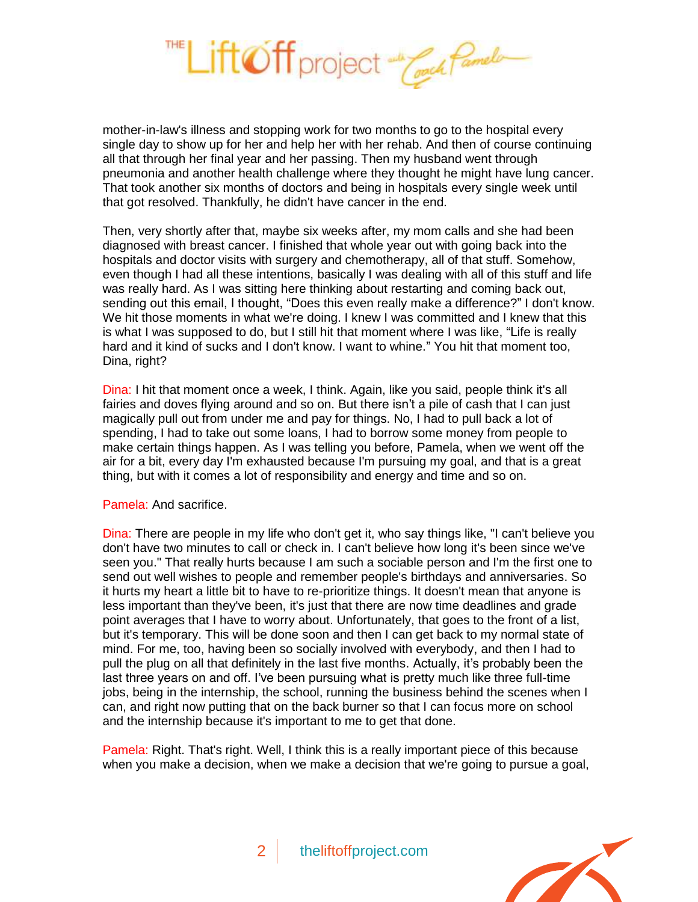

mother-in-law's illness and stopping work for two months to go to the hospital every single day to show up for her and help her with her rehab. And then of course continuing all that through her final year and her passing. Then my husband went through pneumonia and another health challenge where they thought he might have lung cancer. That took another six months of doctors and being in hospitals every single week until that got resolved. Thankfully, he didn't have cancer in the end.

Then, very shortly after that, maybe six weeks after, my mom calls and she had been diagnosed with breast cancer. I finished that whole year out with going back into the hospitals and doctor visits with surgery and chemotherapy, all of that stuff. Somehow, even though I had all these intentions, basically I was dealing with all of this stuff and life was really hard. As I was sitting here thinking about restarting and coming back out, sending out this email, I thought, "Does this even really make a difference?" I don't know. We hit those moments in what we're doing. I knew I was committed and I knew that this is what I was supposed to do, but I still hit that moment where I was like, "Life is really hard and it kind of sucks and I don't know. I want to whine." You hit that moment too, Dina, right?

Dina: I hit that moment once a week, I think. Again, like you said, people think it's all fairies and doves flying around and so on. But there isn't a pile of cash that I can just magically pull out from under me and pay for things. No, I had to pull back a lot of spending, I had to take out some loans, I had to borrow some money from people to make certain things happen. As I was telling you before, Pamela, when we went off the air for a bit, every day I'm exhausted because I'm pursuing my goal, and that is a great thing, but with it comes a lot of responsibility and energy and time and so on.

#### Pamela: And sacrifice.

Dina: There are people in my life who don't get it, who say things like, "I can't believe you don't have two minutes to call or check in. I can't believe how long it's been since we've seen you." That really hurts because I am such a sociable person and I'm the first one to send out well wishes to people and remember people's birthdays and anniversaries. So it hurts my heart a little bit to have to re-prioritize things. It doesn't mean that anyone is less important than they've been, it's just that there are now time deadlines and grade point averages that I have to worry about. Unfortunately, that goes to the front of a list, but it's temporary. This will be done soon and then I can get back to my normal state of mind. For me, too, having been so socially involved with everybody, and then I had to pull the plug on all that definitely in the last five months. Actually, it's probably been the last three years on and off. I've been pursuing what is pretty much like three full-time jobs, being in the internship, the school, running the business behind the scenes when I can, and right now putting that on the back burner so that I can focus more on school and the internship because it's important to me to get that done.

Pamela: Right. That's right. Well, I think this is a really important piece of this because when you make a decision, when we make a decision that we're going to pursue a goal,



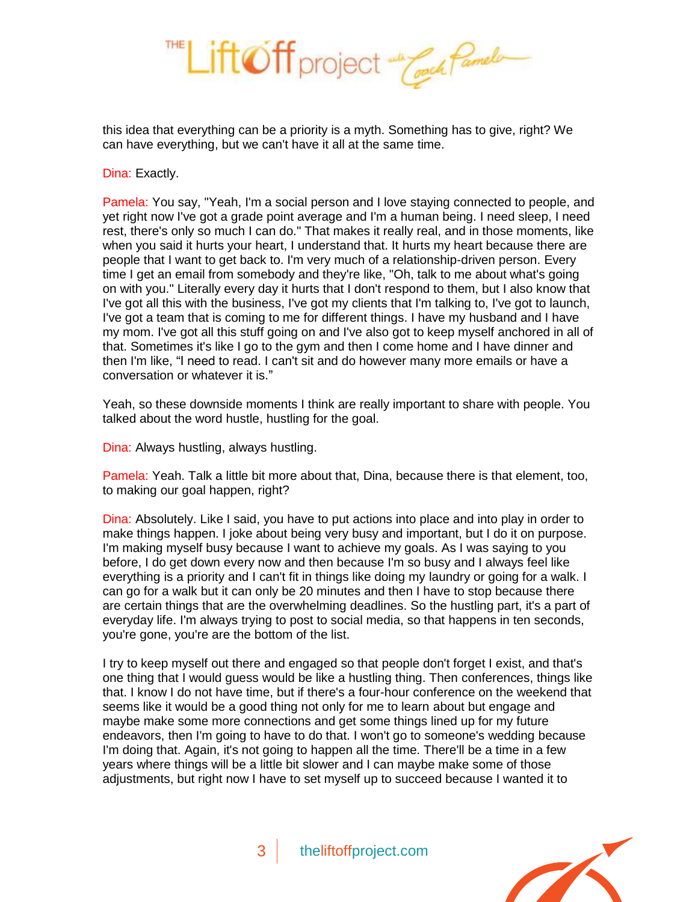

this idea that everything can be a priority is a myth. Something has to give, right? We can have everything, but we can't have it all at the same time.

Dina: Exactly.

Pamela: You say, "Yeah, I'm a social person and I love staying connected to people, and yet right now I've got a grade point average and I'm a human being. I need sleep, I need rest, there's only so much I can do." That makes it really real, and in those moments, like when you said it hurts your heart, I understand that. It hurts my heart because there are people that I want to get back to. I'm very much of a relationship-driven person. Every time I get an email from somebody and they're like, "Oh, talk to me about what's going on with you." Literally every day it hurts that I don't respond to them, but I also know that I've got all this with the business, I've got my clients that I'm talking to, I've got to launch, I've got a team that is coming to me for different things. I have my husband and I have my mom. I've got all this stuff going on and I've also got to keep myself anchored in all of that. Sometimes it's like I go to the gym and then I come home and I have dinner and then I'm like, "I need to read. I can't sit and do however many more emails or have a conversation or whatever it is."

Yeah, so these downside moments I think are really important to share with people. You talked about the word hustle, hustling for the goal.

Dina: Always hustling, always hustling.

Pamela: Yeah. Talk a little bit more about that, Dina, because there is that element, too, to making our goal happen, right?

Dina: Absolutely. Like I said, you have to put actions into place and into play in order to make things happen. I joke about being very busy and important, but I do it on purpose. I'm making myself busy because I want to achieve my goals. As I was saying to you before, I do get down every now and then because I'm so busy and I always feel like everything is a priority and I can't fit in things like doing my laundry or going for a walk. I can go for a walk but it can only be 20 minutes and then I have to stop because there are certain things that are the overwhelming deadlines. So the hustling part, it's a part of everyday life. I'm always trying to post to social media, so that happens in ten seconds, you're gone, you're are the bottom of the list.

I try to keep myself out there and engaged so that people don't forget I exist, and that's one thing that I would guess would be like a hustling thing. Then conferences, things like that. I know I do not have time, but if there's a four-hour conference on the weekend that seems like it would be a good thing not only for me to learn about but engage and maybe make some more connections and get some things lined up for my future endeavors, then I'm going to have to do that. I won't go to someone's wedding because I'm doing that. Again, it's not going to happen all the time. There'll be a time in a few years where things will be a little bit slower and I can maybe make some of those adjustments, but right now I have to set myself up to succeed because I wanted it to

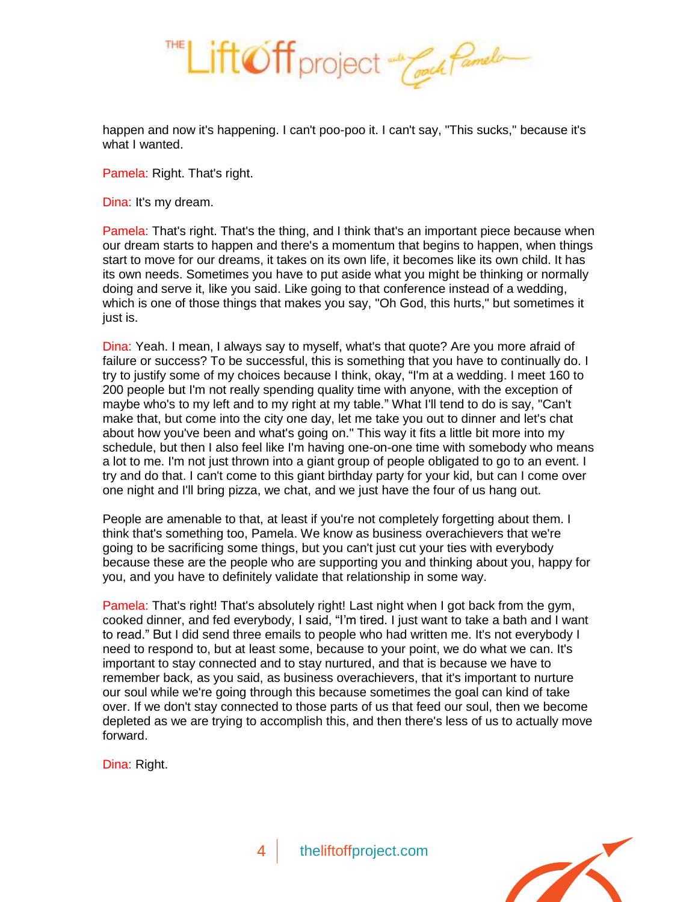

happen and now it's happening. I can't poo-poo it. I can't say, "This sucks," because it's what I wanted.

Pamela: Right. That's right.

Dina: It's my dream.

Pamela: That's right. That's the thing, and I think that's an important piece because when our dream starts to happen and there's a momentum that begins to happen, when things start to move for our dreams, it takes on its own life, it becomes like its own child. It has its own needs. Sometimes you have to put aside what you might be thinking or normally doing and serve it, like you said. Like going to that conference instead of a wedding, which is one of those things that makes you say, "Oh God, this hurts," but sometimes it just is.

Dina: Yeah. I mean, I always say to myself, what's that quote? Are you more afraid of failure or success? To be successful, this is something that you have to continually do. I try to justify some of my choices because I think, okay, "I'm at a wedding. I meet 160 to 200 people but I'm not really spending quality time with anyone, with the exception of maybe who's to my left and to my right at my table." What I'll tend to do is say, "Can't make that, but come into the city one day, let me take you out to dinner and let's chat about how you've been and what's going on." This way it fits a little bit more into my schedule, but then I also feel like I'm having one-on-one time with somebody who means a lot to me. I'm not just thrown into a giant group of people obligated to go to an event. I try and do that. I can't come to this giant birthday party for your kid, but can I come over one night and I'll bring pizza, we chat, and we just have the four of us hang out.

People are amenable to that, at least if you're not completely forgetting about them. I think that's something too, Pamela. We know as business overachievers that we're going to be sacrificing some things, but you can't just cut your ties with everybody because these are the people who are supporting you and thinking about you, happy for you, and you have to definitely validate that relationship in some way.

Pamela: That's right! That's absolutely right! Last night when I got back from the gym, cooked dinner, and fed everybody, I said, "I'm tired. I just want to take a bath and I want to read." But I did send three emails to people who had written me. It's not everybody I need to respond to, but at least some, because to your point, we do what we can. It's important to stay connected and to stay nurtured, and that is because we have to remember back, as you said, as business overachievers, that it's important to nurture our soul while we're going through this because sometimes the goal can kind of take over. If we don't stay connected to those parts of us that feed our soul, then we become depleted as we are trying to accomplish this, and then there's less of us to actually move forward.

Dina: Right.

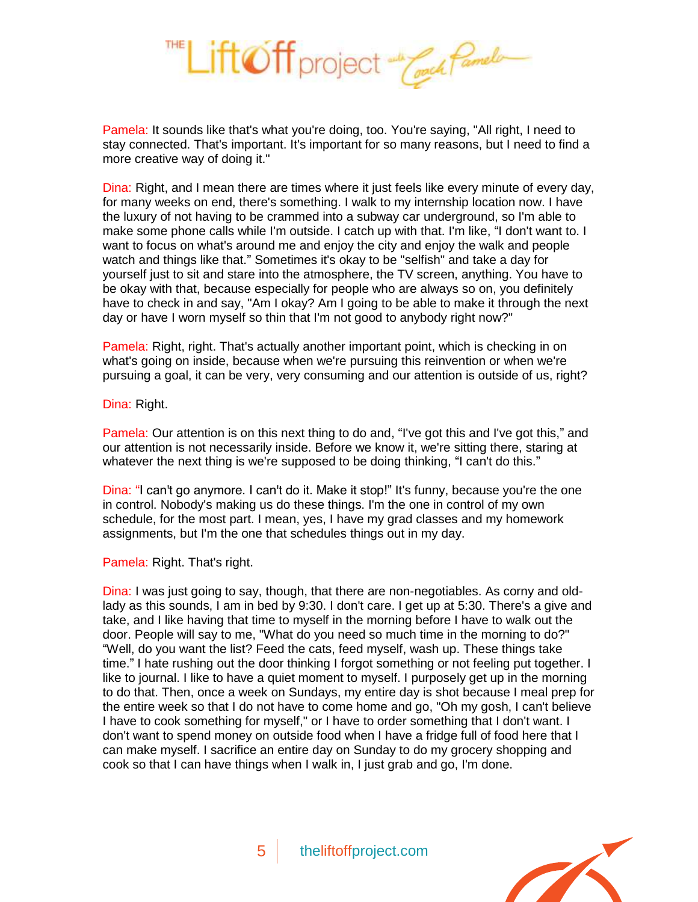

Pamela: It sounds like that's what you're doing, too. You're saying, "All right, I need to stay connected. That's important. It's important for so many reasons, but I need to find a more creative way of doing it."

Dina: Right, and I mean there are times where it just feels like every minute of every day, for many weeks on end, there's something. I walk to my internship location now. I have the luxury of not having to be crammed into a subway car underground, so I'm able to make some phone calls while I'm outside. I catch up with that. I'm like, "I don't want to. I want to focus on what's around me and enjoy the city and enjoy the walk and people watch and things like that." Sometimes it's okay to be "selfish" and take a day for yourself just to sit and stare into the atmosphere, the TV screen, anything. You have to be okay with that, because especially for people who are always so on, you definitely have to check in and say, "Am I okay? Am I going to be able to make it through the next day or have I worn myself so thin that I'm not good to anybody right now?"

Pamela: Right, right. That's actually another important point, which is checking in on what's going on inside, because when we're pursuing this reinvention or when we're pursuing a goal, it can be very, very consuming and our attention is outside of us, right?

Dina: Right.

Pamela: Our attention is on this next thing to do and, "I've got this and I've got this," and our attention is not necessarily inside. Before we know it, we're sitting there, staring at whatever the next thing is we're supposed to be doing thinking, "I can't do this."

Dina: "I can't go anymore. I can't do it. Make it stop!" It's funny, because you're the one in control. Nobody's making us do these things. I'm the one in control of my own schedule, for the most part. I mean, yes, I have my grad classes and my homework assignments, but I'm the one that schedules things out in my day.

Pamela: Right. That's right.

Dina: I was just going to say, though, that there are non-negotiables. As corny and oldlady as this sounds, I am in bed by 9:30. I don't care. I get up at 5:30. There's a give and take, and I like having that time to myself in the morning before I have to walk out the door. People will say to me, "What do you need so much time in the morning to do?" "Well, do you want the list? Feed the cats, feed myself, wash up. These things take time." I hate rushing out the door thinking I forgot something or not feeling put together. I like to journal. I like to have a quiet moment to myself. I purposely get up in the morning to do that. Then, once a week on Sundays, my entire day is shot because I meal prep for the entire week so that I do not have to come home and go, "Oh my gosh, I can't believe I have to cook something for myself," or I have to order something that I don't want. I don't want to spend money on outside food when I have a fridge full of food here that I can make myself. I sacrifice an entire day on Sunday to do my grocery shopping and cook so that I can have things when I walk in, I just grab and go, I'm done.

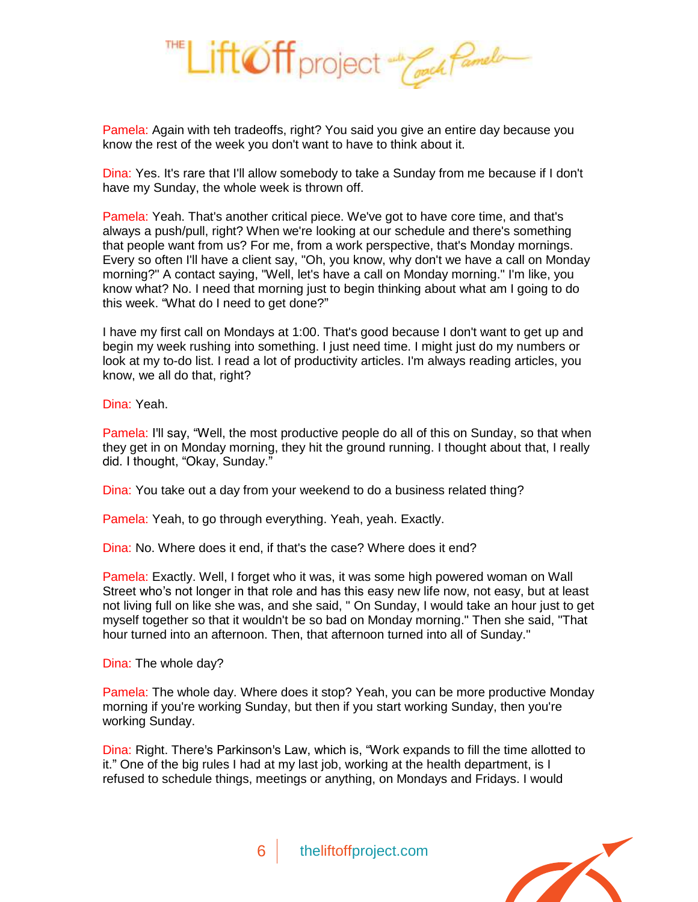

Pamela: Again with teh tradeoffs, right? You said you give an entire day because you know the rest of the week you don't want to have to think about it.

Dina: Yes. It's rare that I'll allow somebody to take a Sunday from me because if I don't have my Sunday, the whole week is thrown off.

Pamela: Yeah. That's another critical piece. We've got to have core time, and that's always a push/pull, right? When we're looking at our schedule and there's something that people want from us? For me, from a work perspective, that's Monday mornings. Every so often I'll have a client say, "Oh, you know, why don't we have a call on Monday morning?" A contact saying, "Well, let's have a call on Monday morning." I'm like, you know what? No. I need that morning just to begin thinking about what am I going to do this week. "What do I need to get done?"

I have my first call on Mondays at 1:00. That's good because I don't want to get up and begin my week rushing into something. I just need time. I might just do my numbers or look at my to-do list. I read a lot of productivity articles. I'm always reading articles, you know, we all do that, right?

Dina: Yeah.

Pamela: I'll say, "Well, the most productive people do all of this on Sunday, so that when they get in on Monday morning, they hit the ground running. I thought about that, I really did. I thought, "Okay, Sunday."

Dina: You take out a day from your weekend to do a business related thing?

Pamela: Yeah, to go through everything. Yeah, yeah. Exactly.

Dina: No. Where does it end, if that's the case? Where does it end?

Pamela: Exactly. Well, I forget who it was, it was some high powered woman on Wall Street who's not longer in that role and has this easy new life now, not easy, but at least not living full on like she was, and she said, " On Sunday, I would take an hour just to get myself together so that it wouldn't be so bad on Monday morning." Then she said, "That hour turned into an afternoon. Then, that afternoon turned into all of Sunday."

Dina: The whole day?

Pamela: The whole day. Where does it stop? Yeah, you can be more productive Monday morning if you're working Sunday, but then if you start working Sunday, then you're working Sunday.

Dina: Right. There's Parkinson's Law, which is, "Work expands to fill the time allotted to it." One of the big rules I had at my last job, working at the health department, is I refused to schedule things, meetings or anything, on Mondays and Fridays. I would

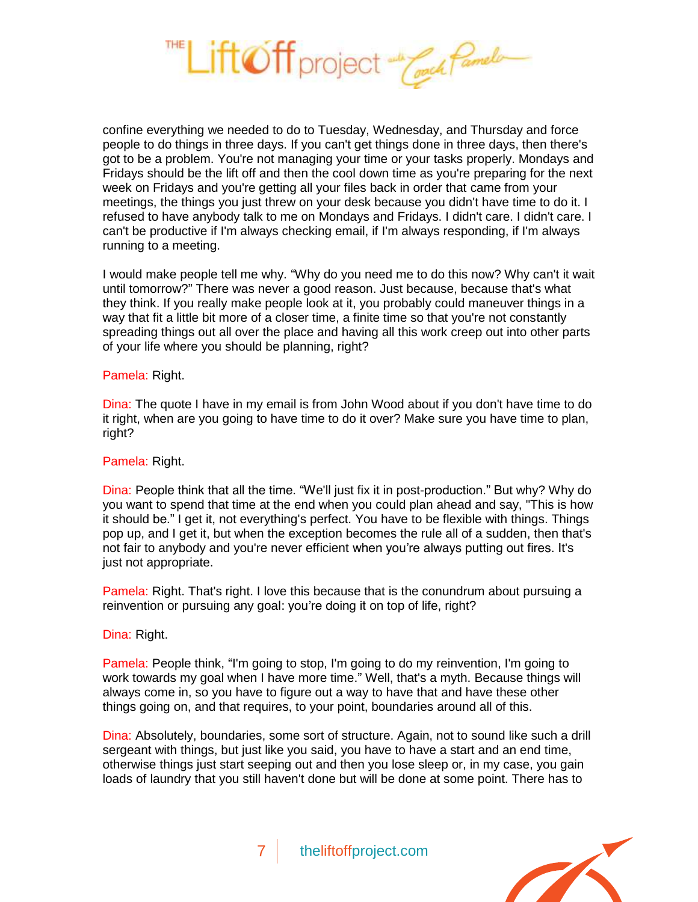

confine everything we needed to do to Tuesday, Wednesday, and Thursday and force people to do things in three days. If you can't get things done in three days, then there's got to be a problem. You're not managing your time or your tasks properly. Mondays and Fridays should be the lift off and then the cool down time as you're preparing for the next week on Fridays and you're getting all your files back in order that came from your meetings, the things you just threw on your desk because you didn't have time to do it. I refused to have anybody talk to me on Mondays and Fridays. I didn't care. I didn't care. I can't be productive if I'm always checking email, if I'm always responding, if I'm always running to a meeting.

I would make people tell me why. "Why do you need me to do this now? Why can't it wait until tomorrow?" There was never a good reason. Just because, because that's what they think. If you really make people look at it, you probably could maneuver things in a way that fit a little bit more of a closer time, a finite time so that you're not constantly spreading things out all over the place and having all this work creep out into other parts of your life where you should be planning, right?

#### Pamela: Right.

Dina: The quote I have in my email is from John Wood about if you don't have time to do it right, when are you going to have time to do it over? Make sure you have time to plan, right?

### Pamela: Right.

Dina: People think that all the time. "We'll just fix it in post-production." But why? Why do you want to spend that time at the end when you could plan ahead and say, "This is how it should be." I get it, not everything's perfect. You have to be flexible with things. Things pop up, and I get it, but when the exception becomes the rule all of a sudden, then that's not fair to anybody and you're never efficient when you're always putting out fires. It's just not appropriate.

Pamela: Right. That's right. I love this because that is the conundrum about pursuing a reinvention or pursuing any goal: you're doing it on top of life, right?

## Dina: Right.

Pamela: People think, "I'm going to stop, I'm going to do my reinvention, I'm going to work towards my goal when I have more time." Well, that's a myth. Because things will always come in, so you have to figure out a way to have that and have these other things going on, and that requires, to your point, boundaries around all of this.

Dina: Absolutely, boundaries, some sort of structure. Again, not to sound like such a drill sergeant with things, but just like you said, you have to have a start and an end time, otherwise things just start seeping out and then you lose sleep or, in my case, you gain loads of laundry that you still haven't done but will be done at some point. There has to

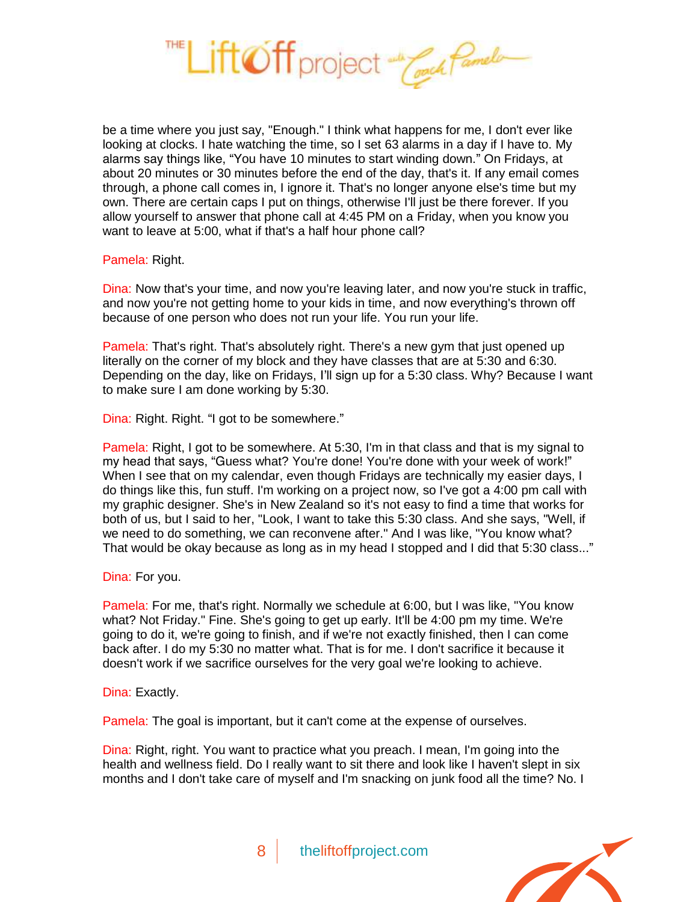

be a time where you just say, "Enough." I think what happens for me, I don't ever like looking at clocks. I hate watching the time, so I set 63 alarms in a day if I have to. My alarms say things like, "You have 10 minutes to start winding down." On Fridays, at about 20 minutes or 30 minutes before the end of the day, that's it. If any email comes through, a phone call comes in, I ignore it. That's no longer anyone else's time but my own. There are certain caps I put on things, otherwise I'll just be there forever. If you allow yourself to answer that phone call at 4:45 PM on a Friday, when you know you want to leave at 5:00, what if that's a half hour phone call?

### Pamela: Right.

Dina: Now that's your time, and now you're leaving later, and now you're stuck in traffic, and now you're not getting home to your kids in time, and now everything's thrown off because of one person who does not run your life. You run your life.

Pamela: That's right. That's absolutely right. There's a new gym that just opened up literally on the corner of my block and they have classes that are at 5:30 and 6:30. Depending on the day, like on Fridays, I'll sign up for a 5:30 class. Why? Because I want to make sure I am done working by 5:30.

Dina: Right. Right. "I got to be somewhere."

Pamela: Right, I got to be somewhere. At 5:30, I'm in that class and that is my signal to my head that says, "Guess what? You're done! You're done with your week of work!" When I see that on my calendar, even though Fridays are technically my easier days, I do things like this, fun stuff. I'm working on a project now, so I've got a 4:00 pm call with my graphic designer. She's in New Zealand so it's not easy to find a time that works for both of us, but I said to her, "Look, I want to take this 5:30 class. And she says, "Well, if we need to do something, we can reconvene after." And I was like, "You know what? That would be okay because as long as in my head I stopped and I did that 5:30 class..."

Dina: For you.

Pamela: For me, that's right. Normally we schedule at 6:00, but I was like, "You know what? Not Friday." Fine. She's going to get up early. It'll be 4:00 pm my time. We're going to do it, we're going to finish, and if we're not exactly finished, then I can come back after. I do my 5:30 no matter what. That is for me. I don't sacrifice it because it doesn't work if we sacrifice ourselves for the very goal we're looking to achieve.

Dina: Exactly.

Pamela: The goal is important, but it can't come at the expense of ourselves.

Dina: Right, right. You want to practice what you preach. I mean, I'm going into the health and wellness field. Do I really want to sit there and look like I haven't slept in six months and I don't take care of myself and I'm snacking on junk food all the time? No. I

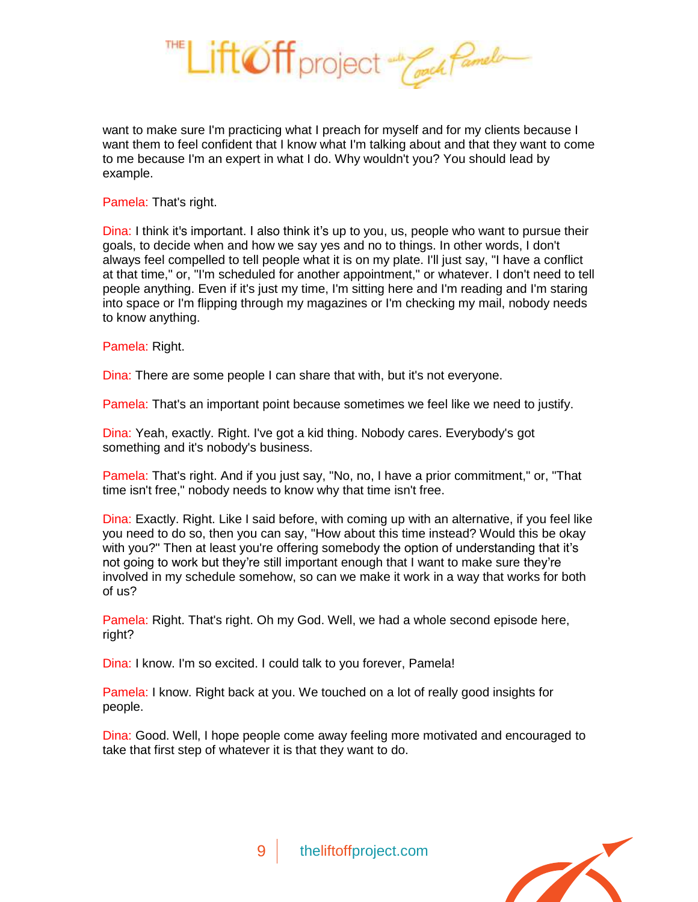

want to make sure I'm practicing what I preach for myself and for my clients because I want them to feel confident that I know what I'm talking about and that they want to come to me because I'm an expert in what I do. Why wouldn't you? You should lead by example.

Pamela: That's right.

Dina: I think it's important. I also think it's up to you, us, people who want to pursue their goals, to decide when and how we say yes and no to things. In other words, I don't always feel compelled to tell people what it is on my plate. I'll just say, "I have a conflict at that time," or, "I'm scheduled for another appointment," or whatever. I don't need to tell people anything. Even if it's just my time, I'm sitting here and I'm reading and I'm staring into space or I'm flipping through my magazines or I'm checking my mail, nobody needs to know anything.

Pamela: Right.

Dina: There are some people I can share that with, but it's not everyone.

Pamela: That's an important point because sometimes we feel like we need to justify.

Dina: Yeah, exactly. Right. I've got a kid thing. Nobody cares. Everybody's got something and it's nobody's business.

Pamela: That's right. And if you just say, "No, no, I have a prior commitment," or, "That time isn't free," nobody needs to know why that time isn't free.

Dina: Exactly. Right. Like I said before, with coming up with an alternative, if you feel like you need to do so, then you can say, "How about this time instead? Would this be okay with you?" Then at least you're offering somebody the option of understanding that it's not going to work but they're still important enough that I want to make sure they're involved in my schedule somehow, so can we make it work in a way that works for both of us?

Pamela: Right. That's right. Oh my God. Well, we had a whole second episode here, right?

Dina: I know. I'm so excited. I could talk to you forever, Pamela!

Pamela: I know. Right back at you. We touched on a lot of really good insights for people.

Dina: Good. Well, I hope people come away feeling more motivated and encouraged to take that first step of whatever it is that they want to do.